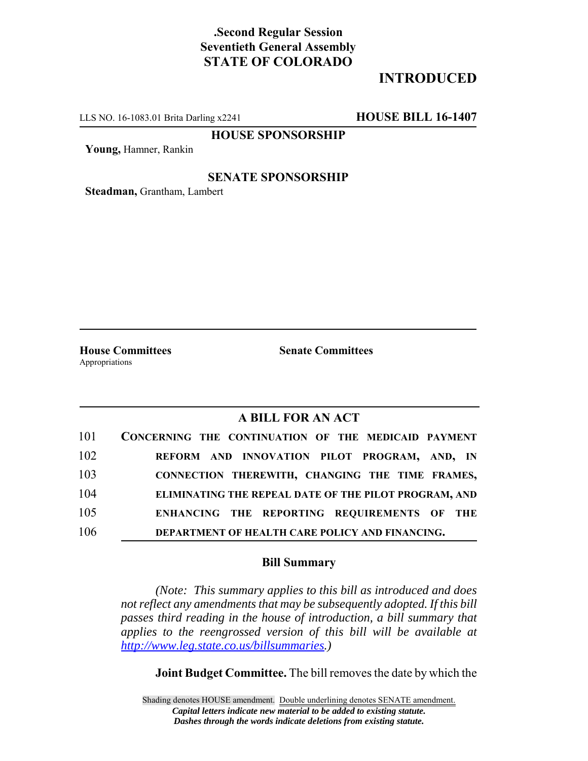# **.Second Regular Session Seventieth General Assembly STATE OF COLORADO**

# **INTRODUCED**

LLS NO. 16-1083.01 Brita Darling x2241 **HOUSE BILL 16-1407**

**HOUSE SPONSORSHIP**

**Young,** Hamner, Rankin

### **SENATE SPONSORSHIP**

**Steadman,** Grantham, Lambert

**House Committees Senate Committees** Appropriations

### **A BILL FOR AN ACT**

| 101 | CONCERNING THE CONTINUATION OF THE MEDICAID PAYMENT   |
|-----|-------------------------------------------------------|
| 102 | REFORM AND INNOVATION PILOT PROGRAM, AND, IN          |
| 103 | CONNECTION THEREWITH, CHANGING THE TIME FRAMES,       |
| 104 | ELIMINATING THE REPEAL DATE OF THE PILOT PROGRAM, AND |
| 105 | ENHANCING THE REPORTING REQUIREMENTS OF THE           |
| 106 | DEPARTMENT OF HEALTH CARE POLICY AND FINANCING.       |

#### **Bill Summary**

*(Note: This summary applies to this bill as introduced and does not reflect any amendments that may be subsequently adopted. If this bill passes third reading in the house of introduction, a bill summary that applies to the reengrossed version of this bill will be available at http://www.leg.state.co.us/billsummaries.)*

**Joint Budget Committee.** The bill removes the date by which the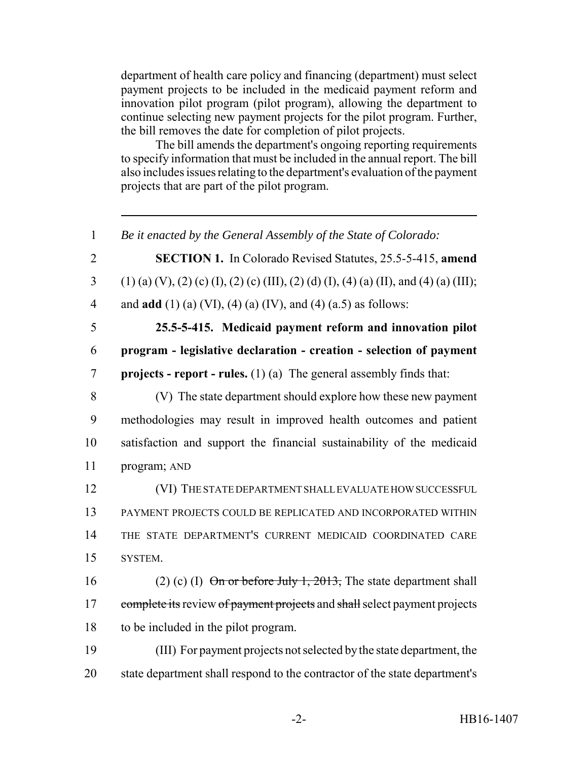department of health care policy and financing (department) must select payment projects to be included in the medicaid payment reform and innovation pilot program (pilot program), allowing the department to continue selecting new payment projects for the pilot program. Further, the bill removes the date for completion of pilot projects.

The bill amends the department's ongoing reporting requirements to specify information that must be included in the annual report. The bill also includes issues relating to the department's evaluation of the payment projects that are part of the pilot program.

 *Be it enacted by the General Assembly of the State of Colorado:* **SECTION 1.** In Colorado Revised Statutes, 25.5-5-415, **amend** 3 (1) (a) (V), (2) (c) (I), (2) (c) (III), (2) (d) (I), (4) (a) (II), and (4) (a) (III); and **add** (1) (a) (VI), (4) (a) (IV), and (4) (a.5) as follows: **25.5-5-415. Medicaid payment reform and innovation pilot program - legislative declaration - creation - selection of payment projects - report - rules.** (1) (a) The general assembly finds that: (V) The state department should explore how these new payment methodologies may result in improved health outcomes and patient satisfaction and support the financial sustainability of the medicaid program; AND (VI) THE STATE DEPARTMENT SHALL EVALUATE HOW SUCCESSFUL PAYMENT PROJECTS COULD BE REPLICATED AND INCORPORATED WITHIN THE STATE DEPARTMENT'S CURRENT MEDICAID COORDINATED CARE 15 SYSTEM. 16 (2) (c) (I)  $\Theta$  in or before July 1, 2013, The state department shall 17 complete its review of payment projects and shall select payment projects to be included in the pilot program. (III) For payment projects not selected by the state department, the state department shall respond to the contractor of the state department's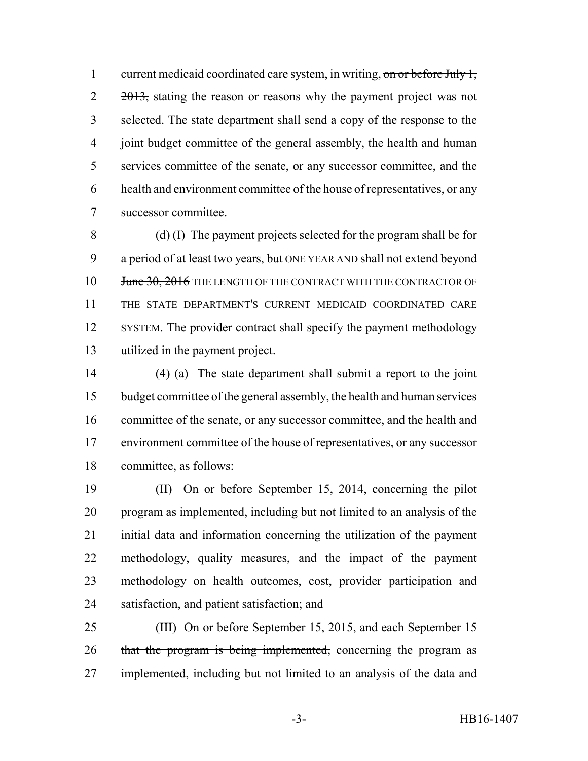1 current medicaid coordinated care system, in writing, on or before July 1,  $2 \frac{2013}{100}$ , stating the reason or reasons why the payment project was not selected. The state department shall send a copy of the response to the joint budget committee of the general assembly, the health and human services committee of the senate, or any successor committee, and the health and environment committee of the house of representatives, or any successor committee.

 (d) (I) The payment projects selected for the program shall be for 9 a period of at least two years, but ONE YEAR AND shall not extend beyond 10 June 30, 2016 THE LENGTH OF THE CONTRACT WITH THE CONTRACTOR OF THE STATE DEPARTMENT'S CURRENT MEDICAID COORDINATED CARE SYSTEM. The provider contract shall specify the payment methodology utilized in the payment project.

 (4) (a) The state department shall submit a report to the joint budget committee of the general assembly, the health and human services committee of the senate, or any successor committee, and the health and environment committee of the house of representatives, or any successor committee, as follows:

 (II) On or before September 15, 2014, concerning the pilot program as implemented, including but not limited to an analysis of the initial data and information concerning the utilization of the payment methodology, quality measures, and the impact of the payment methodology on health outcomes, cost, provider participation and 24 satisfaction, and patient satisfaction; and

25 (III) On or before September 15, 2015, and each September 15 26 that the program is being implemented, concerning the program as implemented, including but not limited to an analysis of the data and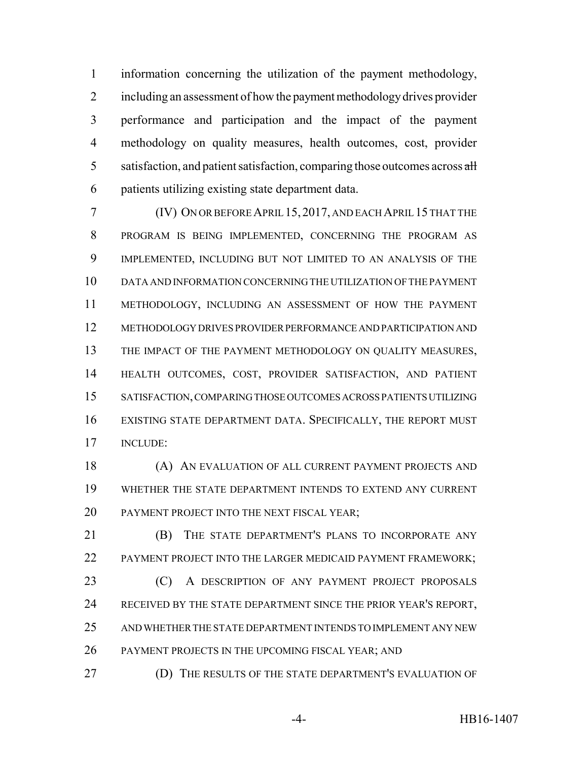information concerning the utilization of the payment methodology, including an assessment of how the payment methodology drives provider performance and participation and the impact of the payment methodology on quality measures, health outcomes, cost, provider satisfaction, and patient satisfaction, comparing those outcomes across  $\frac{dH}{dt}$ patients utilizing existing state department data.

 (IV) ON OR BEFORE APRIL 15, 2017, AND EACH APRIL 15 THAT THE PROGRAM IS BEING IMPLEMENTED, CONCERNING THE PROGRAM AS IMPLEMENTED, INCLUDING BUT NOT LIMITED TO AN ANALYSIS OF THE DATA AND INFORMATION CONCERNING THE UTILIZATION OF THE PAYMENT METHODOLOGY, INCLUDING AN ASSESSMENT OF HOW THE PAYMENT METHODOLOGY DRIVES PROVIDER PERFORMANCE AND PARTICIPATION AND 13 THE IMPACT OF THE PAYMENT METHODOLOGY ON QUALITY MEASURES, HEALTH OUTCOMES, COST, PROVIDER SATISFACTION, AND PATIENT SATISFACTION, COMPARING THOSE OUTCOMES ACROSS PATIENTS UTILIZING EXISTING STATE DEPARTMENT DATA. SPECIFICALLY, THE REPORT MUST INCLUDE:

18 (A) AN EVALUATION OF ALL CURRENT PAYMENT PROJECTS AND WHETHER THE STATE DEPARTMENT INTENDS TO EXTEND ANY CURRENT PAYMENT PROJECT INTO THE NEXT FISCAL YEAR;

 (B) THE STATE DEPARTMENT'S PLANS TO INCORPORATE ANY 22 PAYMENT PROJECT INTO THE LARGER MEDICAID PAYMENT FRAMEWORK; 23 (C) A DESCRIPTION OF ANY PAYMENT PROJECT PROPOSALS 24 RECEIVED BY THE STATE DEPARTMENT SINCE THE PRIOR YEAR'S REPORT,

AND WHETHER THE STATE DEPARTMENT INTENDS TO IMPLEMENT ANY NEW

PAYMENT PROJECTS IN THE UPCOMING FISCAL YEAR; AND

(D) THE RESULTS OF THE STATE DEPARTMENT'S EVALUATION OF